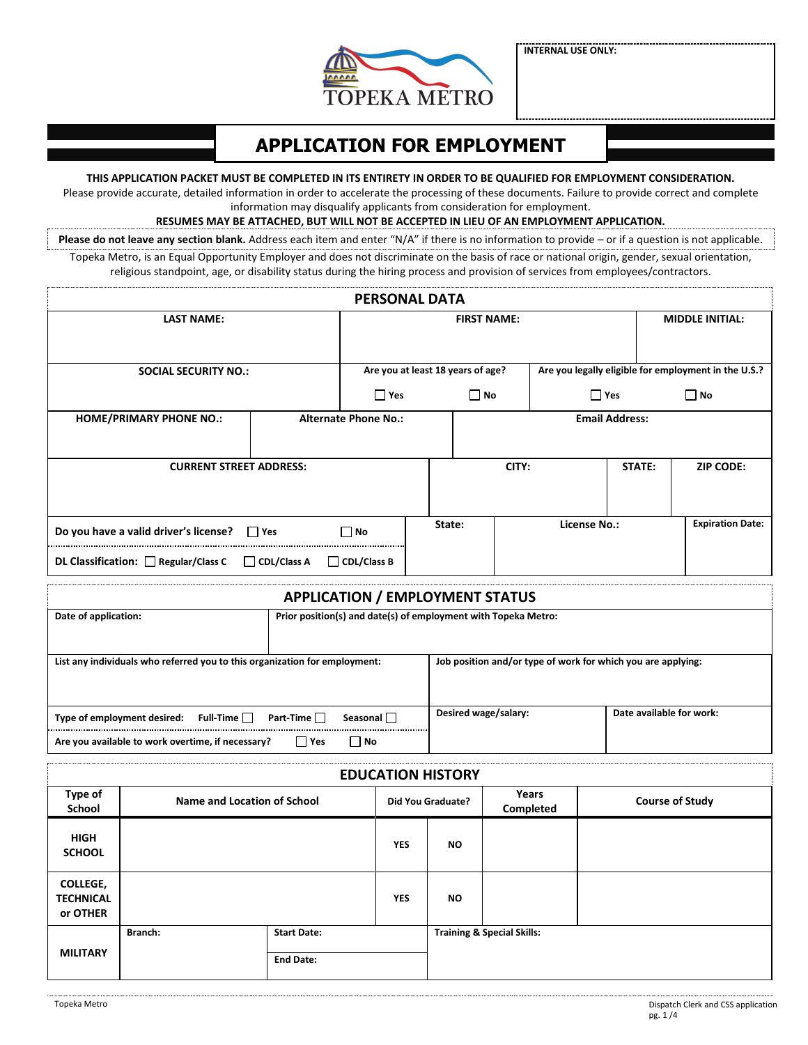

**INTERNAL USE ONLY:**

# **APPLICATION FOR EMPLOYMENT**

#### **THIS APPLICATION PACKET MUST BE COMPLETED IN ITS ENTIRETY IN ORDER TO BE QUALIFIED FOR EMPLOYMENT CONSIDERATION.**

Please provide accurate, detailed information in order to accelerate the processing of these documents. Failure to provide correct and complete information may disqualify applicants from consideration for employment.

#### **RESUMES MAY BE ATTACHED, BUT WILL NOT BE ACCEPTED IN LIEU OF AN EMPLOYMENT APPLICATION.**

Please do not leave any section blank. Address each item and enter "N/A" if there is no information to provide – or if a question is not applicable. Topeka Metro, is an Equal Opportunity Employer and does not discriminate on the basis of race or national origin, gender, sexual orientation, religious standpoint, age, or disability status during the hiring process and provision of services from employees/contractors.

| <b>PERSONAL DATA</b>                             |             |                             |                    |                                   |              |                       |                                                      |
|--------------------------------------------------|-------------|-----------------------------|--------------------|-----------------------------------|--------------|-----------------------|------------------------------------------------------|
| <b>LAST NAME:</b>                                |             |                             | <b>FIRST NAME:</b> |                                   |              |                       | <b>MIDDLE INITIAL:</b>                               |
|                                                  |             |                             |                    |                                   |              |                       |                                                      |
| <b>SOCIAL SECURITY NO.:</b>                      |             |                             |                    | Are you at least 18 years of age? |              |                       | Are you legally eligible for employment in the U.S.? |
|                                                  |             | $\Box$ Yes                  |                    | $\Box$ No                         | $\Box$ Yes   |                       | $\Box$ No                                            |
| <b>HOME/PRIMARY PHONE NO.:</b>                   |             | <b>Alternate Phone No.:</b> |                    |                                   |              | <b>Email Address:</b> |                                                      |
|                                                  |             |                             |                    |                                   |              |                       |                                                      |
| <b>CURRENT STREET ADDRESS:</b>                   |             |                             |                    | CITY:                             |              | STATE:                | <b>ZIP CODE:</b>                                     |
|                                                  |             |                             |                    |                                   |              |                       |                                                      |
| Do you have a valid driver's license? $\Box$ Yes |             | $\Box$ No                   | State:             |                                   | License No.: |                       | <b>Expiration Date:</b>                              |
| DL Classification: $\Box$ Regular/Class C        | CDL/Class A | CDL/Class B                 |                    |                                   |              |                       |                                                      |

## **APPLICATION / EMPLOYMENT STATUS Date of application: Prior position(s) and date(s) of employment with Topeka Metro:**

| List any individuals who referred you to this organization for employment:      | Job position and/or type of work for which you are applying: |                          |  |
|---------------------------------------------------------------------------------|--------------------------------------------------------------|--------------------------|--|
|                                                                                 |                                                              |                          |  |
|                                                                                 |                                                              |                          |  |
| Full-Time $\Box$<br>Seasonal $\Box$<br>Part-Time<br>Type of employment desired: | Desired wage/salary:                                         | Date available for work: |  |
| Are you available to work overtime, if necessary?<br>l Yes<br>l No              |                                                              |                          |  |

|                                                 | <b>EDUCATION HISTORY</b>    |                                        |            |                          |                                       |                        |  |  |
|-------------------------------------------------|-----------------------------|----------------------------------------|------------|--------------------------|---------------------------------------|------------------------|--|--|
| Type of<br>School                               | Name and Location of School |                                        |            | <b>Did You Graduate?</b> | Years<br>Completed                    | <b>Course of Study</b> |  |  |
| <b>HIGH</b><br><b>SCHOOL</b>                    |                             |                                        | <b>YES</b> | <b>NO</b>                |                                       |                        |  |  |
| <b>COLLEGE,</b><br><b>TECHNICAL</b><br>or OTHER |                             |                                        | <b>YES</b> | <b>NO</b>                |                                       |                        |  |  |
| <b>MILITARY</b>                                 | Branch:                     | <b>Start Date:</b><br><b>End Date:</b> |            |                          | <b>Training &amp; Special Skills:</b> |                        |  |  |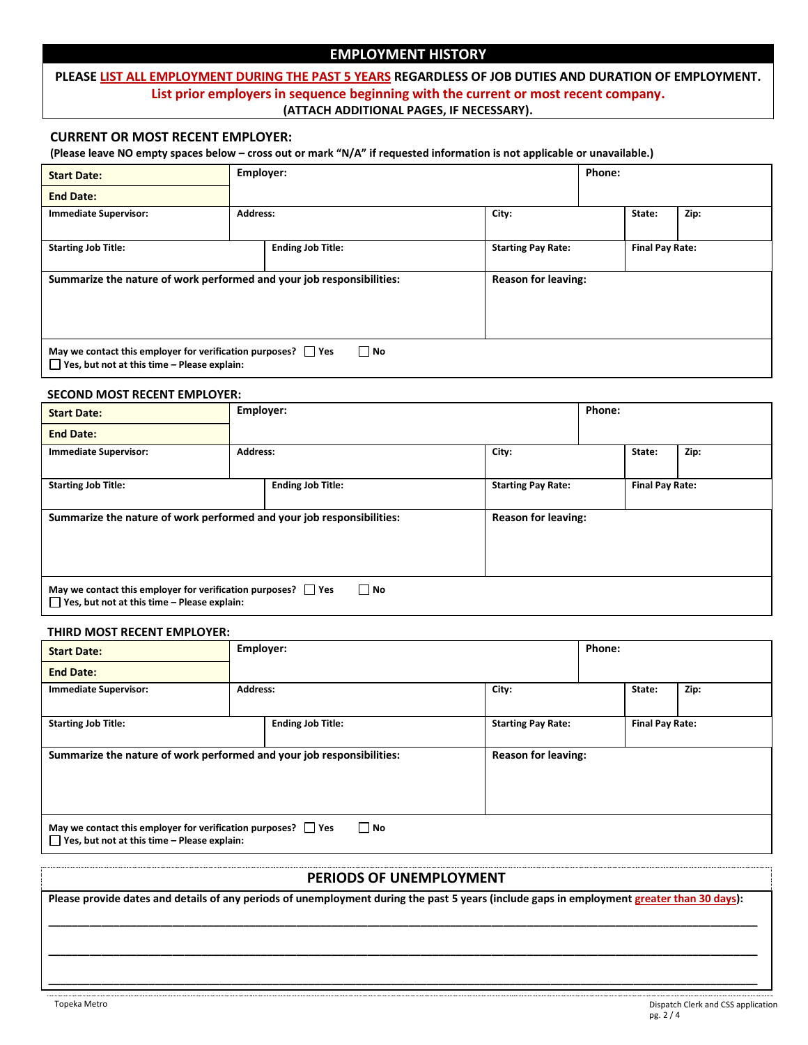## **EMPLOYMENT HISTORY**

## **PLEASE LIST ALL EMPLOYMENT DURING THE PAST 5 YEARS REGARDLESS OF JOB DUTIES AND DURATION OF EMPLOYMENT. List prior employers in sequence beginning with the current or most recent company. (ATTACH ADDITIONAL PAGES, IF NECESSARY).**

#### **CURRENT OR MOST RECENT EMPLOYER:**

**(Please leave NO empty spaces below – cross out or mark "N/A" if requested information is not applicable or unavailable.)**

| <b>Start Date:</b>                                                                                                             | Employer:       |                            |                           | Phone: |                        |      |
|--------------------------------------------------------------------------------------------------------------------------------|-----------------|----------------------------|---------------------------|--------|------------------------|------|
| <b>End Date:</b>                                                                                                               |                 |                            |                           |        |                        |      |
| <b>Immediate Supervisor:</b>                                                                                                   | <b>Address:</b> |                            | City:                     |        | State:                 | Zip: |
| <b>Starting Job Title:</b>                                                                                                     |                 | <b>Ending Job Title:</b>   | <b>Starting Pay Rate:</b> |        | <b>Final Pay Rate:</b> |      |
| Summarize the nature of work performed and your job responsibilities:                                                          |                 | <b>Reason for leaving:</b> |                           |        |                        |      |
| $\Box$ No<br>May we contact this employer for verification purposes? Ves<br>$\Box$ Yes, but not at this time – Please explain: |                 |                            |                           |        |                        |      |

#### **SECOND MOST RECENT EMPLOYER:**

| <b>Start Date:</b>                                                                                                | Employer:       |                            |                           | Phone: |                        |      |
|-------------------------------------------------------------------------------------------------------------------|-----------------|----------------------------|---------------------------|--------|------------------------|------|
| <b>End Date:</b>                                                                                                  |                 |                            |                           |        |                        |      |
| <b>Immediate Supervisor:</b>                                                                                      | <b>Address:</b> |                            | City:                     |        | State:                 | Zip: |
| <b>Starting Job Title:</b>                                                                                        |                 | <b>Ending Job Title:</b>   | <b>Starting Pay Rate:</b> |        | <b>Final Pay Rate:</b> |      |
| Summarize the nature of work performed and your job responsibilities:                                             |                 | <b>Reason for leaving:</b> |                           |        |                        |      |
| May we contact this employer for verification purposes? Yes<br>$\Box$ Yes, but not at this time – Please explain: |                 | $\Box$ No                  |                           |        |                        |      |

#### **THIRD MOST RECENT EMPLOYER:**

| <b>Start Date:</b>                                                                                                |                 | Employer:                |                            | Phone:                 |      |
|-------------------------------------------------------------------------------------------------------------------|-----------------|--------------------------|----------------------------|------------------------|------|
| <b>End Date:</b>                                                                                                  |                 |                          |                            |                        |      |
| <b>Immediate Supervisor:</b>                                                                                      | <b>Address:</b> |                          | City:                      | State:                 | Zip: |
| <b>Starting Job Title:</b>                                                                                        |                 | <b>Ending Job Title:</b> | <b>Starting Pay Rate:</b>  | <b>Final Pay Rate:</b> |      |
| Summarize the nature of work performed and your job responsibilities:                                             |                 |                          | <b>Reason for leaving:</b> |                        |      |
| May we contact this employer for verification purposes? Ves<br>$\Box$ Yes, but not at this time - Please explain: |                 | $\Box$ No                |                            |                        |      |
|                                                                                                                   |                 |                          |                            |                        |      |

### **PERIODS OF UNEMPLOYMENT**

**Please provide dates and details of any periods of unemployment during the past 5 years (include gaps in employment greater than 30 days): \_\_\_\_\_\_\_\_\_\_\_\_\_\_\_\_\_\_\_\_\_\_\_\_\_\_\_\_\_\_\_\_\_\_\_\_\_\_\_\_\_\_\_\_\_\_\_\_\_\_\_\_\_\_\_\_\_\_\_\_\_\_\_\_\_\_\_\_\_\_\_\_\_\_\_\_\_\_\_\_\_\_\_\_\_\_\_\_\_\_\_\_\_\_\_\_\_\_\_\_\_\_\_\_\_\_\_\_\_\_\_\_\_\_\_\_\_\_\_\_**

**\_\_\_\_\_\_\_\_\_\_\_\_\_\_\_\_\_\_\_\_\_\_\_\_\_\_\_\_\_\_\_\_\_\_\_\_\_\_\_\_\_\_\_\_\_\_\_\_\_\_\_\_\_\_\_\_\_\_\_\_\_\_\_\_\_\_\_\_\_\_\_\_\_\_\_\_\_\_\_\_\_\_\_\_\_\_\_\_\_\_\_\_\_\_\_\_\_\_\_\_\_\_\_\_\_\_\_\_\_\_\_\_\_\_\_\_\_\_\_\_**

**\_\_\_\_\_\_\_\_\_\_\_\_\_\_\_\_\_\_\_\_\_\_\_\_\_\_\_\_\_\_\_\_\_\_\_\_\_\_\_\_\_\_\_\_\_\_\_\_\_\_\_\_\_\_\_\_\_\_\_\_\_\_\_\_\_\_\_\_\_\_\_\_\_\_\_\_\_\_\_\_\_\_\_\_\_\_\_\_\_\_\_\_\_\_\_\_\_\_\_\_\_\_\_\_\_\_\_\_\_\_\_\_\_\_\_\_\_\_\_\_**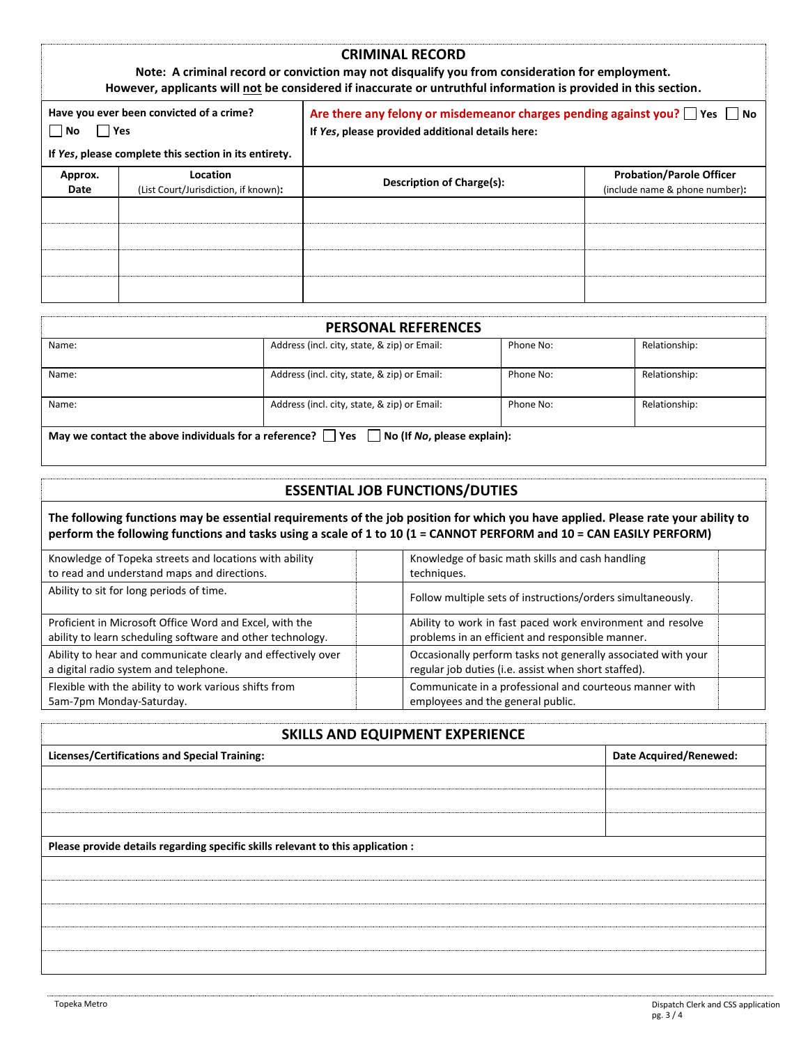|                                                                                                                       |                                                  | <b>CRIMINAL RECORD</b><br>Note: A criminal record or conviction may not disqualify you from consideration for employment.<br>However, applicants will not be considered if inaccurate or untruthful information is provided in this section. |                                                                   |  |
|-----------------------------------------------------------------------------------------------------------------------|--------------------------------------------------|----------------------------------------------------------------------------------------------------------------------------------------------------------------------------------------------------------------------------------------------|-------------------------------------------------------------------|--|
| Have you ever been convicted of a crime?<br>l l Yes<br>l INo<br>If Yes, please complete this section in its entirety. |                                                  | Are there any felony or misdemeanor charges pending against you? $\Box$ Yes $\Box$ No<br>If Yes, please provided additional details here:                                                                                                    |                                                                   |  |
| Approx.<br>Date                                                                                                       | Location<br>(List Court/Jurisdiction, if known): | Description of Charge(s):                                                                                                                                                                                                                    | <b>Probation/Parole Officer</b><br>(include name & phone number): |  |
|                                                                                                                       |                                                  |                                                                                                                                                                                                                                              |                                                                   |  |
|                                                                                                                       |                                                  |                                                                                                                                                                                                                                              |                                                                   |  |

|                                                                                                                   | <b>PERSONAL REFERENCES</b>                   |           |               |  |
|-------------------------------------------------------------------------------------------------------------------|----------------------------------------------|-----------|---------------|--|
| Name:                                                                                                             | Address (incl. city, state, & zip) or Email: | Phone No: | Relationship: |  |
| Name:                                                                                                             | Address (incl. city, state, & zip) or Email: | Phone No: | Relationship: |  |
| Name:                                                                                                             | Address (incl. city, state, & zip) or Email: | Phone No: | Relationship: |  |
| May we contact the above individuals for a reference? $\vert \vert$ Yes $\vert \vert$ No (If No, please explain): |                                              |           |               |  |

## **ESSENTIAL JOB FUNCTIONS/DUTIES**

**The following functions may be essential requirements of the job position for which you have applied. Please rate your ability to perform the following functions and tasks using a scale of 1 to 10 (1 = CANNOT PERFORM and 10 = CAN EASILY PERFORM)**

| Knowledge of Topeka streets and locations with ability       | Knowledge of basic math skills and cash handling              |
|--------------------------------------------------------------|---------------------------------------------------------------|
| to read and understand maps and directions.                  | techniques.                                                   |
| Ability to sit for long periods of time.                     | Follow multiple sets of instructions/orders simultaneously.   |
| Proficient in Microsoft Office Word and Excel, with the      | Ability to work in fast paced work environment and resolve    |
| ability to learn scheduling software and other technology.   | problems in an efficient and responsible manner.              |
| Ability to hear and communicate clearly and effectively over | Occasionally perform tasks not generally associated with your |
| a digital radio system and telephone.                        | regular job duties (i.e. assist when short staffed).          |
| Flexible with the ability to work various shifts from        | Communicate in a professional and courteous manner with       |
| 5am-7pm Monday-Saturday.                                     | employees and the general public.                             |

## **SKILLS AND FOLUPMENT EXPERIENCE**

| SINIERS WITH EQUIT INCITE EAT EINEITCE                                          |                               |  |  |  |
|---------------------------------------------------------------------------------|-------------------------------|--|--|--|
| <b>Licenses/Certifications and Special Training:</b>                            | <b>Date Acquired/Renewed:</b> |  |  |  |
|                                                                                 |                               |  |  |  |
|                                                                                 |                               |  |  |  |
|                                                                                 |                               |  |  |  |
|                                                                                 |                               |  |  |  |
| Please provide details regarding specific skills relevant to this application : |                               |  |  |  |
|                                                                                 |                               |  |  |  |
|                                                                                 |                               |  |  |  |
|                                                                                 |                               |  |  |  |
|                                                                                 |                               |  |  |  |
|                                                                                 |                               |  |  |  |
|                                                                                 |                               |  |  |  |
|                                                                                 |                               |  |  |  |